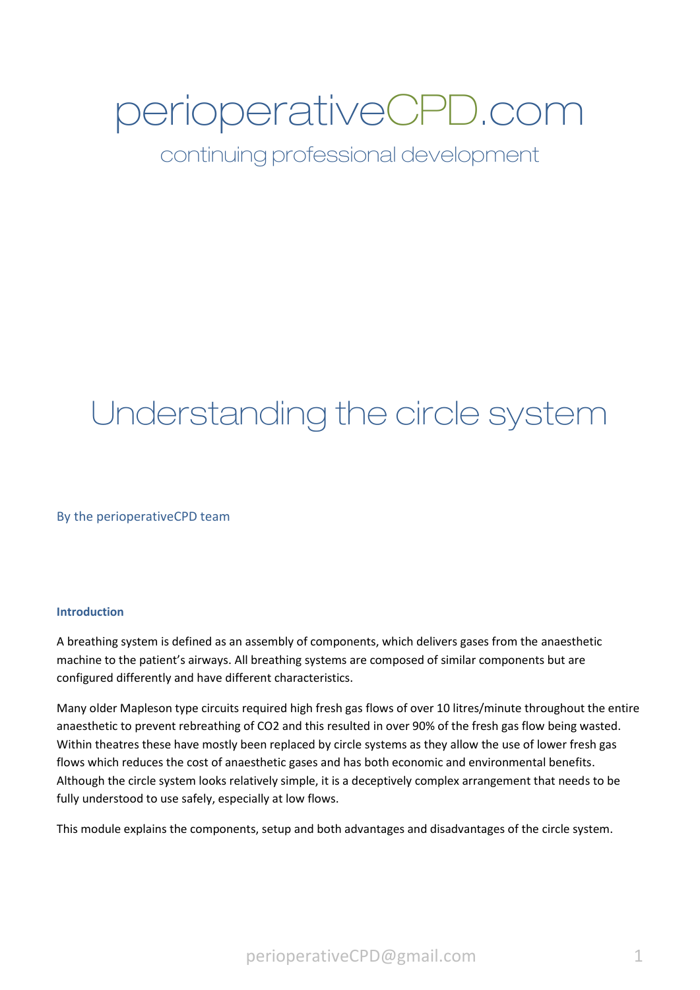# perioperativeCPD.com

continuing professional development

## Understanding the circle system

By the perioperativeCPD team

#### **Introduction**

A breathing system is defined as an assembly of components, which delivers gases from the anaesthetic machine to the patient's airways. All breathing systems are composed of similar components but are configured differently and have different characteristics.

Many older Mapleson type circuits required high fresh gas flows of over 10 litres/minute throughout the entire anaesthetic to prevent rebreathing of CO2 and this resulted in over 90% of the fresh gas flow being wasted. Within theatres these have mostly been replaced by circle systems as they allow the use of lower fresh gas flows which reduces the cost of anaesthetic gases and has both economic and environmental benefits. Although the circle system looks relatively simple, it is a deceptively complex arrangement that needs to be fully understood to use safely, especially at low flows.

This module explains the components, setup and both advantages and disadvantages of the circle system.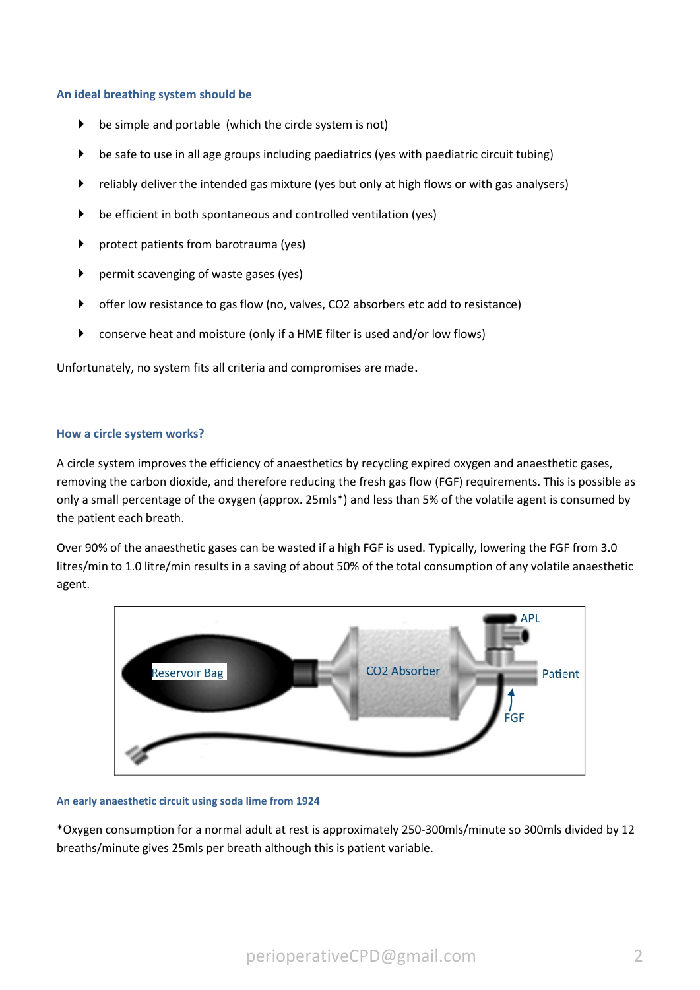#### **An ideal breathing system should be**

- $\triangleright$  be simple and portable (which the circle system is not)
- be safe to use in all age groups including paediatrics (yes with paediatric circuit tubing)
- reliably deliver the intended gas mixture (yes but only at high flows or with gas analysers)
- be efficient in both spontaneous and controlled ventilation (yes)
- protect patients from barotrauma (yes)
- permit scavenging of waste gases (yes)
- offer low resistance to gas flow (no, valves, CO2 absorbers etc add to resistance)
- conserve heat and moisture (only if a HME filter is used and/or low flows)

Unfortunately, no system fits all criteria and compromises are made.

#### **How a circle system works?**

A circle system improves the efficiency of anaesthetics by recycling expired oxygen and anaesthetic gases, removing the carbon dioxide, and therefore reducing the fresh gas flow (FGF) requirements. This is possible as only a small percentage of the oxygen (approx. 25mls\*) and less than 5% of the volatile agent is consumed by the patient each breath.

Over 90% of the anaesthetic gases can be wasted if a high FGF is used. Typically, lowering the FGF from 3.0 litres/min to 1.0 litre/min results in a saving of about 50% of the total consumption of any volatile anaesthetic agent.



#### **An early anaesthetic circuit using soda lime from 1924**

\*Oxygen consumption for a normal adult at rest is approximately 250-300mls/minute so 300mls divided by 12 breaths/minute gives 25mls per breath although this is patient variable.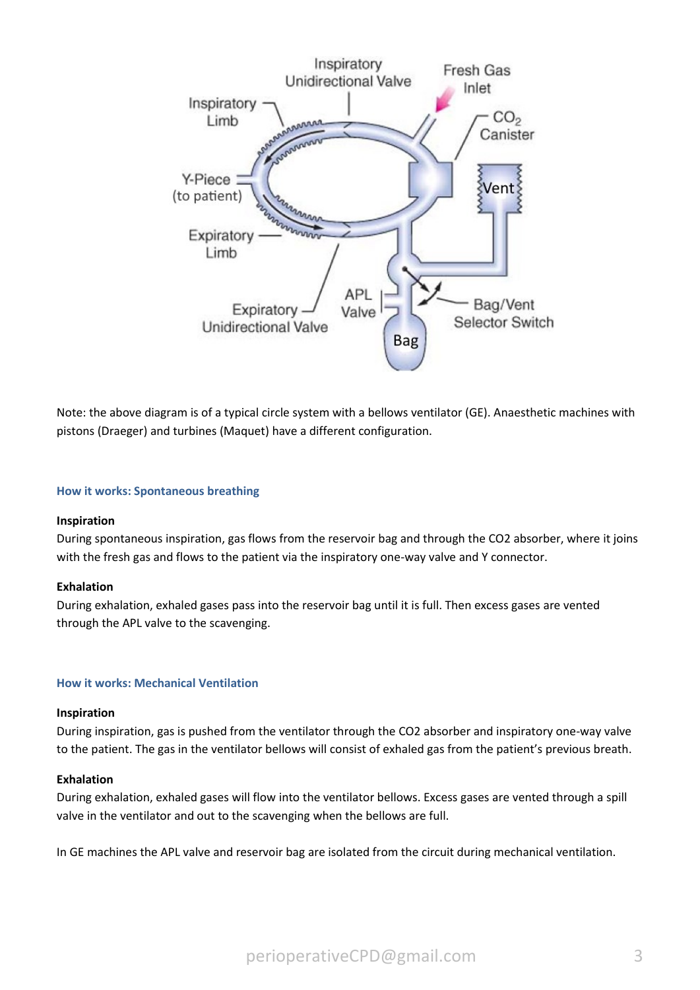

Note: the above diagram is of a typical circle system with a bellows ventilator (GE). Anaesthetic machines with pistons (Draeger) and turbines (Maquet) have a different configuration.

#### **How it works: Spontaneous breathing**

#### **Inspiration**

During spontaneous inspiration, gas flows from the reservoir bag and through the CO2 absorber, where it joins with the fresh gas and flows to the patient via the inspiratory one-way valve and Y connector.

#### **Exhalation**

During exhalation, exhaled gases pass into the reservoir bag until it is full. Then excess gases are vented through the APL valve to the scavenging.

#### **How it works: Mechanical Ventilation**

#### **Inspiration**

During inspiration, gas is pushed from the ventilator through the CO2 absorber and inspiratory one-way valve to the patient. The gas in the ventilator bellows will consist of exhaled gas from the patient's previous breath.

#### **Exhalation**

During exhalation, exhaled gases will flow into the ventilator bellows. Excess gases are vented through a spill valve in the ventilator and out to the scavenging when the bellows are full.

In GE machines the APL valve and reservoir bag are isolated from the circuit during mechanical ventilation.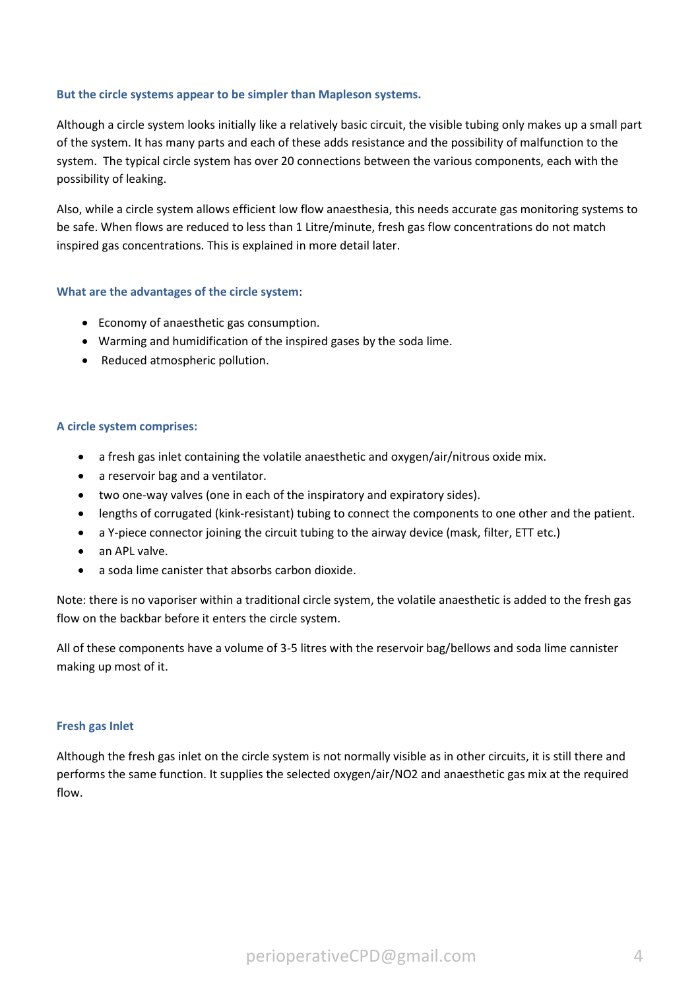#### **But the circle systems appear to be simpler than Mapleson systems.**

Although a circle system looks initially like a relatively basic circuit, the visible tubing only makes up a small part of the system. It has many parts and each of these adds resistance and the possibility of malfunction to the system. The typical circle system has over 20 connections between the various components, each with the possibility of leaking.

Also, while a circle system allows efficient low flow anaesthesia, this needs accurate gas monitoring systems to be safe. When flows are reduced to less than 1 Litre/minute, fresh gas flow concentrations do not match inspired gas concentrations. This is explained in more detail later.

#### **What are the advantages of the circle system**:

- Economy of anaesthetic gas consumption.
- Warming and humidification of the inspired gases by the soda lime.
- Reduced atmospheric pollution.

#### **A circle system comprises:**

- a fresh gas inlet containing the volatile anaesthetic and oxygen/air/nitrous oxide mix.
- a reservoir bag and a ventilator.
- two one-way valves (one in each of the inspiratory and expiratory sides).
- lengths of corrugated (kink-resistant) tubing to connect the components to one other and the patient.
- a Y-piece connector joining the circuit tubing to the airway device (mask, filter, ETT etc.)
- an APL valve.
- a soda lime canister that absorbs carbon dioxide.

Note: there is no vaporiser within a traditional circle system, the volatile anaesthetic is added to the fresh gas flow on the backbar before it enters the circle system.

All of these components have a volume of 3-5 litres with the reservoir bag/bellows and soda lime cannister making up most of it.

#### **Fresh gas Inlet**

Although the fresh gas inlet on the circle system is not normally visible as in other circuits, it is still there and performs the same function. It supplies the selected oxygen/air/NO2 and anaesthetic gas mix at the required flow.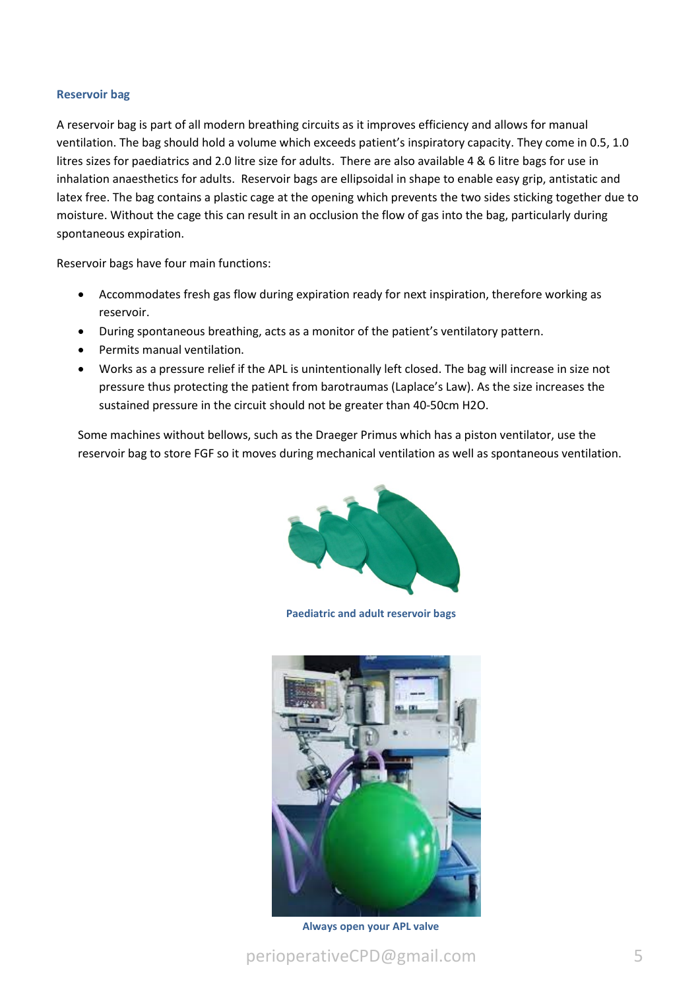#### **Reservoir bag**

A reservoir bag is part of all modern breathing circuits as it improves efficiency and allows for manual ventilation. The bag should hold a volume which exceeds patient's inspiratory capacity. They come in 0.5, 1.0 litres sizes for paediatrics and 2.0 litre size for adults. There are also available 4 & 6 litre bags for use in inhalation anaesthetics for adults. Reservoir bags are ellipsoidal in shape to enable easy grip, antistatic and latex free. The bag contains a plastic cage at the opening which prevents the two sides sticking together due to moisture. Without the cage this can result in an occlusion the flow of gas into the bag, particularly during spontaneous expiration.

Reservoir bags have four main functions:

- Accommodates fresh gas flow during expiration ready for next inspiration, therefore working as reservoir.
- During spontaneous breathing, acts as a monitor of the patient's ventilatory pattern.
- Permits manual ventilation.
- Works as a pressure relief if the APL is unintentionally left closed. The bag will increase in size not pressure thus protecting the patient from barotraumas (Laplace's Law). As the size increases the sustained pressure in the circuit should not be greater than 40-50cm H2O.

Some machines without bellows, such as the Draeger Primus which has a piston ventilator, use the reservoir bag to store FGF so it moves during mechanical ventilation as well as spontaneous ventilation.



**Paediatric and adult reservoir bags** 



**Always open your APL valve**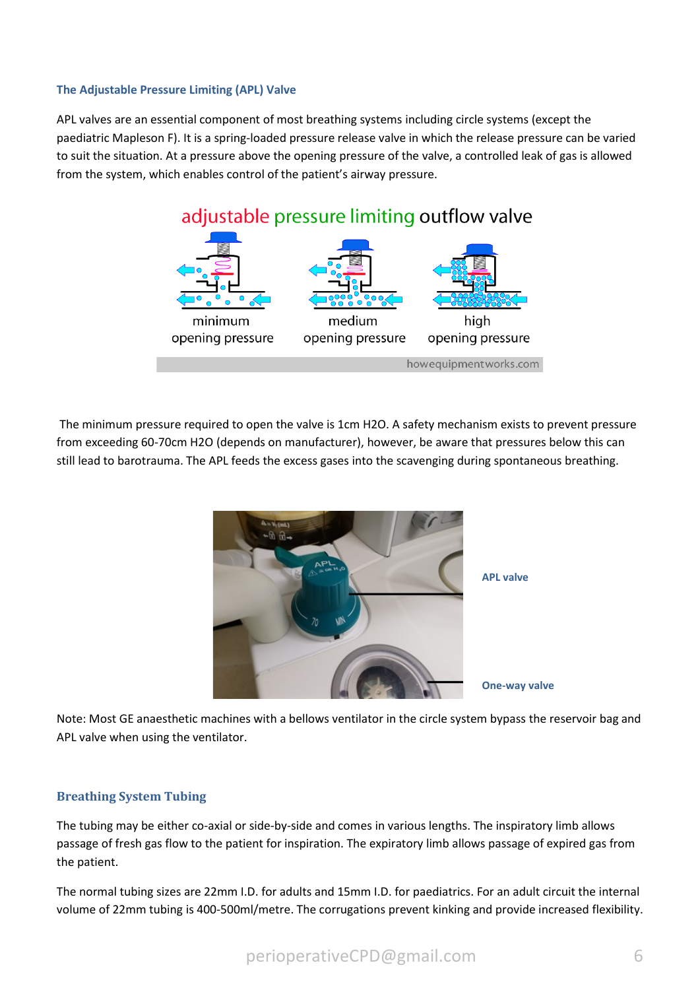#### **The Adjustable Pressure Limiting (APL) Valve**

APL valves are an essential component of most breathing systems including circle systems (except the paediatric Mapleson F). It is a spring-loaded pressure release valve in which the release pressure can be varied to suit the situation. At a pressure above the opening pressure of the valve, a controlled leak of gas is allowed from the system, which enables control of the patient's airway pressure.



The minimum pressure required to open the valve is 1cm H2O. A safety mechanism exists to prevent pressure from exceeding 60-70cm H2O (depends on manufacturer), however, be aware that pressures below this can still lead to barotrauma. The APL feeds the excess gases into the scavenging during spontaneous breathing.



Note: Most GE anaesthetic machines with a bellows ventilator in the circle system bypass the reservoir bag and APL valve when using the ventilator.

#### **Breathing System Tubing**

The tubing may be either co-axial or side-by-side and comes in various lengths. The inspiratory limb allows passage of fresh gas flow to the patient for inspiration. The expiratory limb allows passage of expired gas from the patient.

The normal tubing sizes are 22mm I.D. for adults and 15mm I.D. for paediatrics. For an adult circuit the internal volume of 22mm tubing is 400-500ml/metre. The corrugations prevent kinking and provide increased flexibility.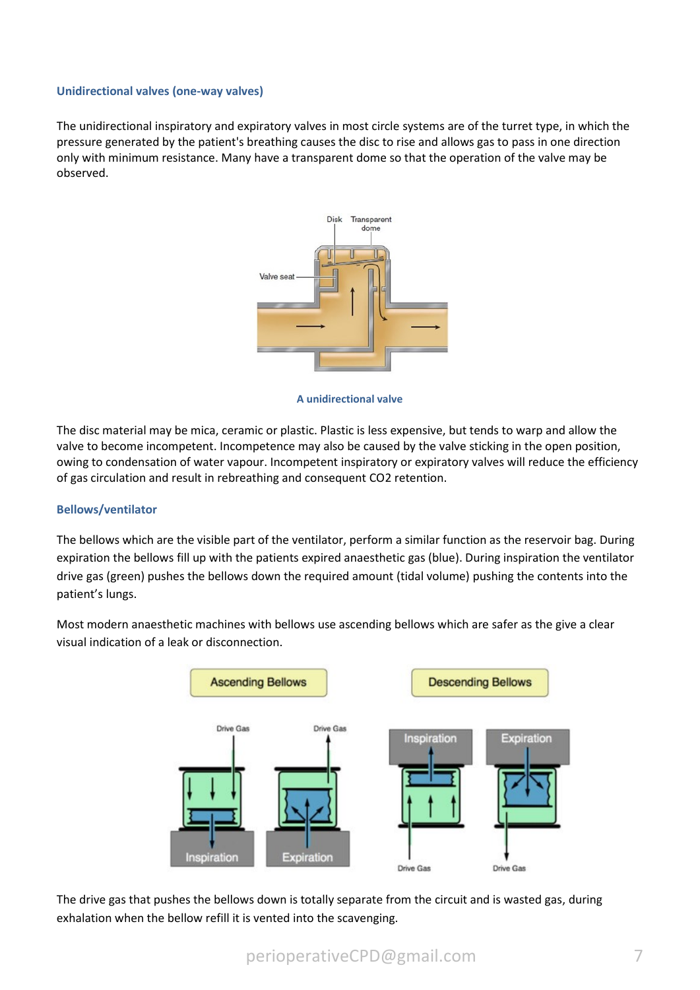#### **Unidirectional valves (one-way valves)**

The unidirectional inspiratory and expiratory valves in most circle systems are of the turret type, in which the pressure generated by the patient's breathing causes the disc to rise and allows gas to pass in one direction only with minimum resistance. Many have a transparent dome so that the operation of the valve may be observed.



**A unidirectional valve**

The disc material may be mica, ceramic or plastic. Plastic is less expensive, but tends to warp and allow the valve to become incompetent. Incompetence may also be caused by the valve sticking in the open position, owing to condensation of water vapour. Incompetent inspiratory or expiratory valves will reduce the efficiency of gas circulation and result in rebreathing and consequent CO2 retention.

#### **Bellows/ventilator**

The bellows which are the visible part of the ventilator, perform a similar function as the reservoir bag. During expiration the bellows fill up with the patients expired anaesthetic gas (blue). During inspiration the ventilator drive gas (green) pushes the bellows down the required amount (tidal volume) pushing the contents into the patient's lungs.

Most modern anaesthetic machines with bellows use ascending bellows which are safer as the give a clear visual indication of a leak or disconnection.



The drive gas that pushes the bellows down is totally separate from the circuit and is wasted gas, during exhalation when the bellow refill it is vented into the scavenging.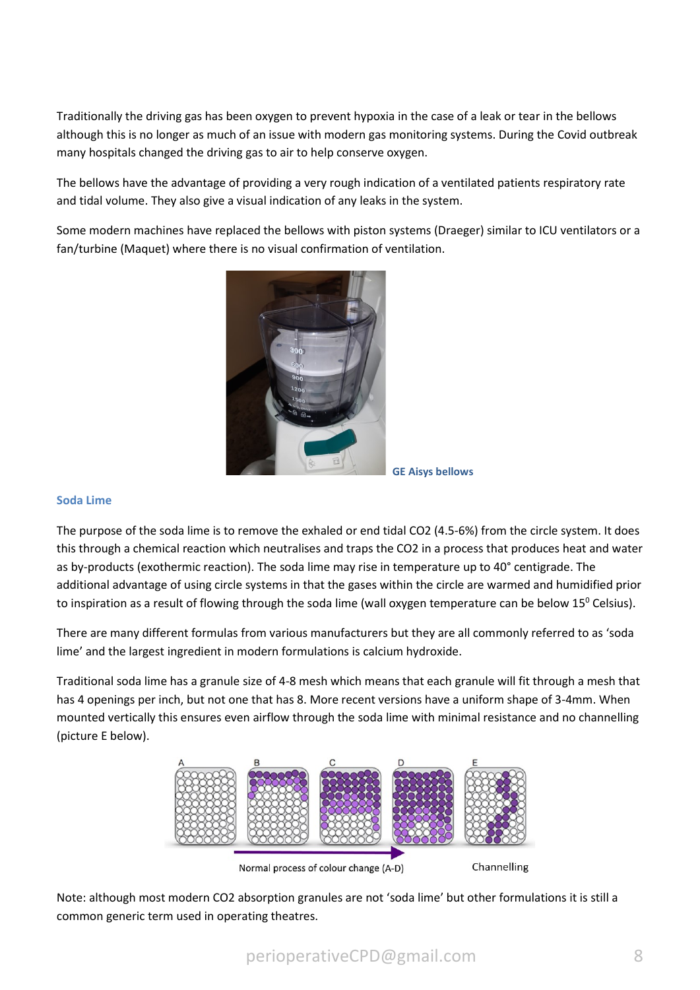Traditionally the driving gas has been oxygen to prevent hypoxia in the case of a leak or tear in the bellows although this is no longer as much of an issue with modern gas monitoring systems. During the Covid outbreak many hospitals changed the driving gas to air to help conserve oxygen.

The bellows have the advantage of providing a very rough indication of a ventilated patients respiratory rate and tidal volume. They also give a visual indication of any leaks in the system.

Some modern machines have replaced the bellows with piston systems (Draeger) similar to ICU ventilators or a fan/turbine (Maquet) where there is no visual confirmation of ventilation.



**GE Aisys bellows**

#### **Soda Lime**

The purpose of the soda lime is to remove the exhaled or end tidal CO2 (4.5-6%) from the circle system. It does this through a chemical reaction which neutralises and traps the CO2 in a process that produces heat and water as by-products (exothermic reaction). The soda lime may rise in temperature up to 40° centigrade. The additional advantage of using circle systems in that the gases within the circle are warmed and humidified prior to inspiration as a result of flowing through the soda lime (wall oxygen temperature can be below 15<sup>0</sup> Celsius).

There are many different formulas from various manufacturers but they are all commonly referred to as 'soda lime' and the largest ingredient in modern formulations is calcium hydroxide.

Traditional soda lime has a granule size of 4-8 mesh which means that each granule will fit through a mesh that has 4 openings per inch, but not one that has 8. More recent versions have a uniform shape of 3-4mm. When mounted vertically this ensures even airflow through the soda lime with minimal resistance and no channelling (picture E below).



Normal process of colour change (A-D)

Channelling

Note: although most modern CO2 absorption granules are not 'soda lime' but other formulations it is still a common generic term used in operating theatres.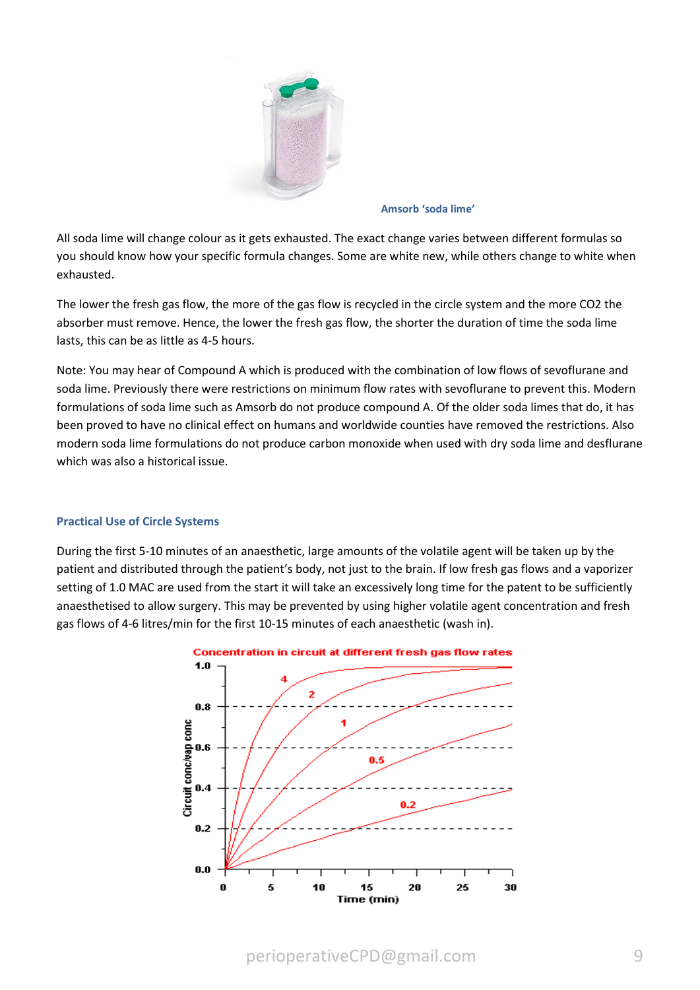

**Amsorb 'soda lime'**

All soda lime will change colour as it gets exhausted. The exact change varies between different formulas so you should know how your specific formula changes. Some are white new, while others change to white when exhausted.

The lower the fresh gas flow, the more of the gas flow is recycled in the circle system and the more CO2 the absorber must remove. Hence, the lower the fresh gas flow, the shorter the duration of time the soda lime lasts, this can be as little as 4-5 hours.

Note: You may hear of Compound A which is produced with the combination of low flows of sevoflurane and soda lime. Previously there were restrictions on minimum flow rates with sevoflurane to prevent this. Modern formulations of soda lime such as Amsorb do not produce compound A. Of the older soda limes that do, it has been proved to have no clinical effect on humans and worldwide counties have removed the restrictions. Also modern soda lime formulations do not produce carbon monoxide when used with dry soda lime and desflurane which was also a historical issue.

#### **Practical Use of Circle Systems**

During the first 5-10 minutes of an anaesthetic, large amounts of the volatile agent will be taken up by the patient and distributed through the patient's body, not just to the brain. If low fresh gas flows and a vaporizer setting of 1.0 MAC are used from the start it will take an excessively long time for the patent to be sufficiently anaesthetised to allow surgery. This may be prevented by using higher volatile agent concentration and fresh gas flows of 4-6 litres/min for the first 10-15 minutes of each anaesthetic (wash in).



perioperativeCPD@gmail.com 9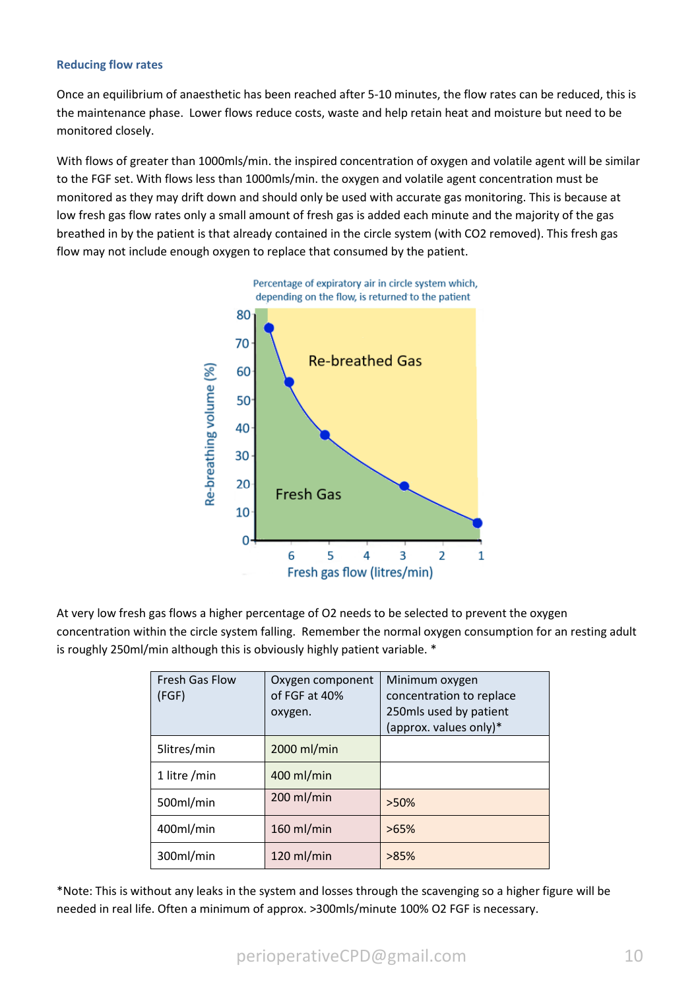#### **Reducing flow rates**

Once an equilibrium of anaesthetic has been reached after 5-10 minutes, the flow rates can be reduced, this is the maintenance phase. Lower flows reduce costs, waste and help retain heat and moisture but need to be monitored closely.

With flows of greater than 1000mls/min. the inspired concentration of oxygen and volatile agent will be similar to the FGF set. With flows less than 1000mls/min. the oxygen and volatile agent concentration must be monitored as they may drift down and should only be used with accurate gas monitoring. This is because at low fresh gas flow rates only a small amount of fresh gas is added each minute and the majority of the gas breathed in by the patient is that already contained in the circle system (with CO2 removed). This fresh gas flow may not include enough oxygen to replace that consumed by the patient.



At very low fresh gas flows a higher percentage of O2 needs to be selected to prevent the oxygen concentration within the circle system falling. Remember the normal oxygen consumption for an resting adult is roughly 250ml/min although this is obviously highly patient variable. \*

| <b>Fresh Gas Flow</b><br>(FGF) | Oxygen component<br>of FGF at 40%<br>oxygen. | Minimum oxygen<br>concentration to replace<br>250mls used by patient<br>(approx. values only)* |
|--------------------------------|----------------------------------------------|------------------------------------------------------------------------------------------------|
| 5litres/min                    | 2000 ml/min                                  |                                                                                                |
| 1 litre /min                   | 400 ml/min                                   |                                                                                                |
| 500ml/min                      | 200 ml/min                                   | $>50\%$                                                                                        |
| 400ml/min                      | $160$ ml/min                                 | $>65\%$                                                                                        |
| 300ml/min                      | $120$ ml/min                                 | >85%                                                                                           |

\*Note: This is without any leaks in the system and losses through the scavenging so a higher figure will be needed in real life. Often a minimum of approx. >300mls/minute 100% O2 FGF is necessary.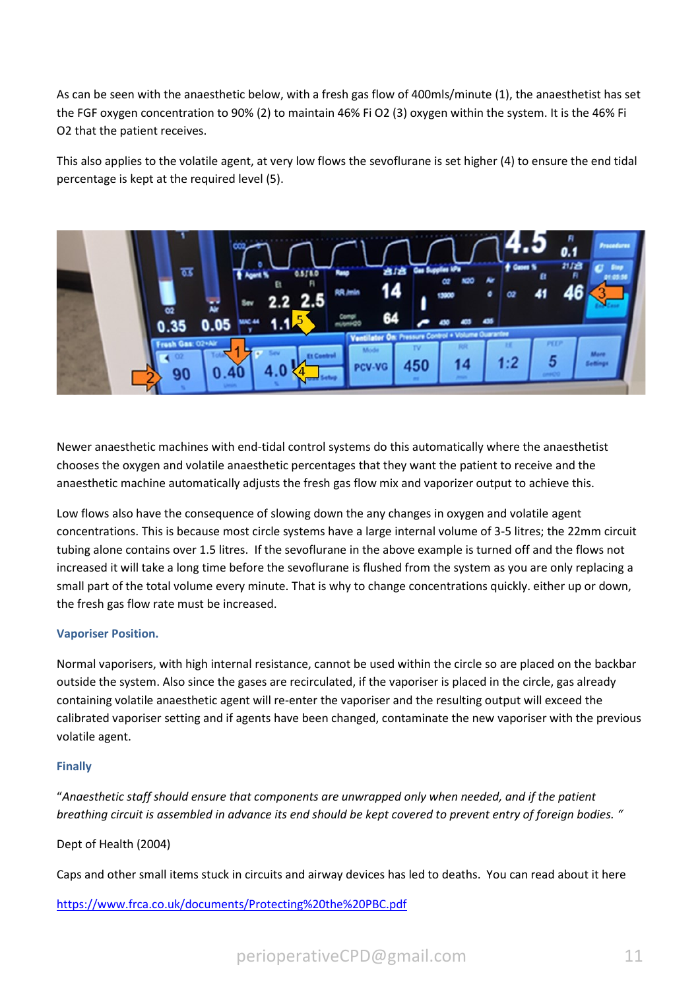As can be seen with the anaesthetic below, with a fresh gas flow of 400mls/minute (1), the anaesthetist has set the FGF oxygen concentration to 90% (2) to maintain 46% Fi O2 (3) oxygen within the system. It is the 46% Fi O2 that the patient receives.

This also applies to the volatile agent, at very low flows the sevoflurane is set higher (4) to ensure the end tidal percentage is kept at the required level (5).



Newer anaesthetic machines with end-tidal control systems do this automatically where the anaesthetist chooses the oxygen and volatile anaesthetic percentages that they want the patient to receive and the anaesthetic machine automatically adjusts the fresh gas flow mix and vaporizer output to achieve this.

Low flows also have the consequence of slowing down the any changes in oxygen and volatile agent concentrations. This is because most circle systems have a large internal volume of 3-5 litres; the 22mm circuit tubing alone contains over 1.5 litres. If the sevoflurane in the above example is turned off and the flows not increased it will take a long time before the sevoflurane is flushed from the system as you are only replacing a small part of the total volume every minute. That is why to change concentrations quickly. either up or down, the fresh gas flow rate must be increased.

#### **Vaporiser Position.**

Normal vaporisers, with high internal resistance, cannot be used within the circle so are placed on the backbar outside the system. Also since the gases are recirculated, if the vaporiser is placed in the circle, gas already containing volatile anaesthetic agent will re-enter the vaporiser and the resulting output will exceed the calibrated vaporiser setting and if agents have been changed, contaminate the new vaporiser with the previous volatile agent.

#### **Finally**

"*Anaesthetic staff should ensure that components are unwrapped only when needed, and if the patient breathing circuit is assembled in advance its end should be kept covered to prevent entry of foreign bodies. "*

#### Dept of Health (2004)

Caps and other small items stuck in circuits and airway devices has led to deaths. You can read about it here

<https://www.frca.co.uk/documents/Protecting%20the%20PBC.pdf>